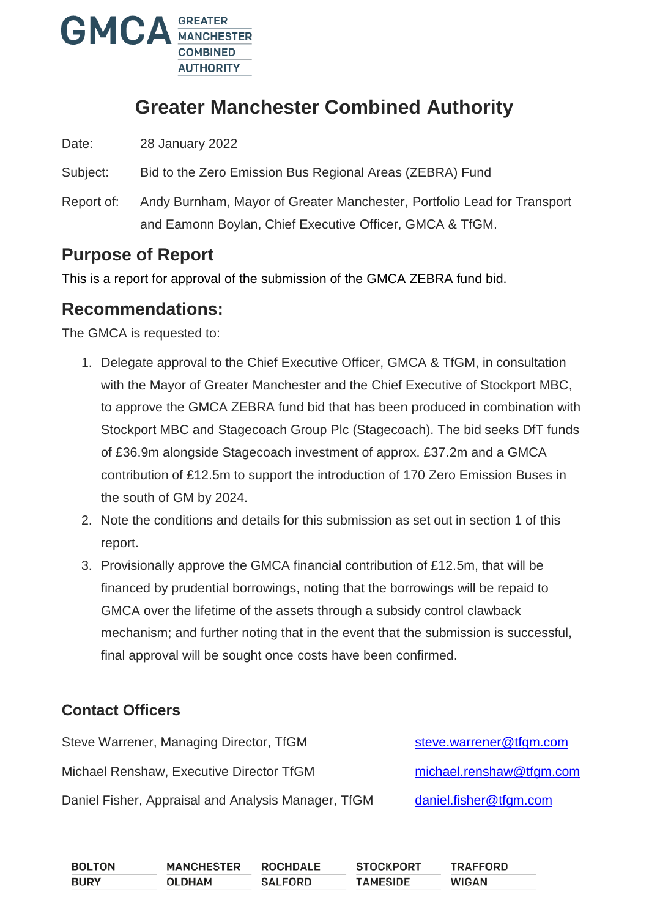

# **Greater Manchester Combined Authority**

Date: 28 January 2022

Subject: Bid to the Zero Emission Bus Regional Areas (ZEBRA) Fund

Report of: Andy Burnham, Mayor of Greater Manchester, Portfolio Lead for Transport and Eamonn Boylan, Chief Executive Officer, GMCA & TfGM.

## **Purpose of Report**

This is a report for approval of the submission of the GMCA ZEBRA fund bid.

### **Recommendations:**

The GMCA is requested to:

- 1. Delegate approval to the Chief Executive Officer, GMCA & TfGM, in consultation with the Mayor of Greater Manchester and the Chief Executive of Stockport MBC, to approve the GMCA ZEBRA fund bid that has been produced in combination with Stockport MBC and Stagecoach Group Plc (Stagecoach). The bid seeks DfT funds of £36.9m alongside Stagecoach investment of approx. £37.2m and a GMCA contribution of £12.5m to support the introduction of 170 Zero Emission Buses in the south of GM by 2024.
- 2. Note the conditions and details for this submission as set out in section 1 of this report.
- 3. Provisionally approve the GMCA financial contribution of £12.5m, that will be financed by prudential borrowings, noting that the borrowings will be repaid to GMCA over the lifetime of the assets through a subsidy control clawback mechanism; and further noting that in the event that the submission is successful, final approval will be sought once costs have been confirmed.

### **Contact Officers**

| Steve Warrener, Managing Director, TfGM             | steve.warrener@tfgm.com  |
|-----------------------------------------------------|--------------------------|
| Michael Renshaw, Executive Director TfGM            | michael.renshaw@tfgm.com |
| Daniel Fisher, Appraisal and Analysis Manager, TfGM | daniel.fisher@tfgm.com   |

| <b>BOLTON</b> | <b>MANCHESTER</b> | <b>ROCHDALE</b> | <b>STOCKPORT</b> | <b>TRAFFORD</b> |
|---------------|-------------------|-----------------|------------------|-----------------|
| <b>BURY</b>   | <b>OLDHAM</b>     | <b>SALFORD</b>  | <b>TAMESIDE</b>  | <b>WIGAN</b>    |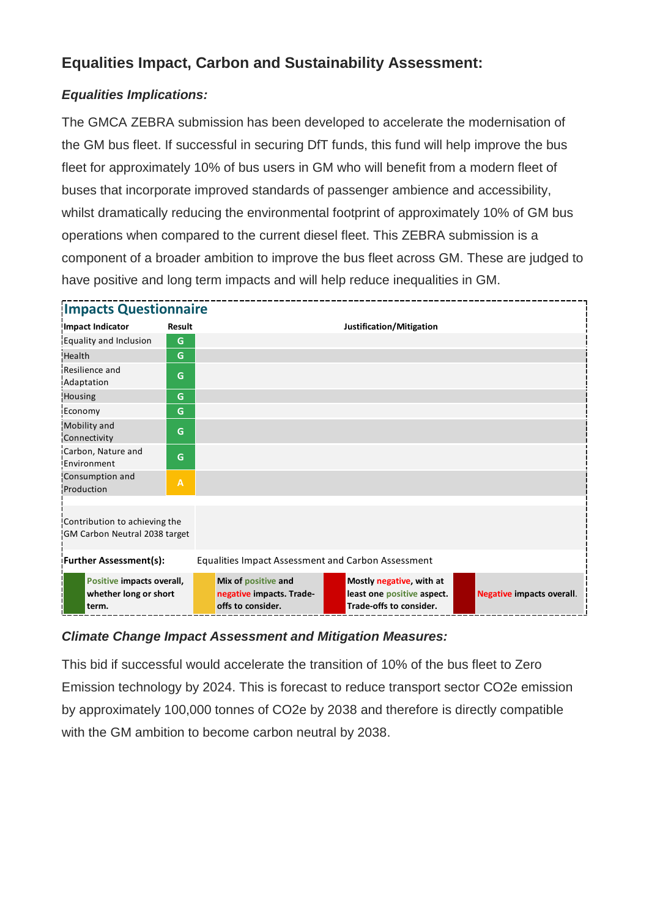### **Equalities Impact, Carbon and Sustainability Assessment:**

#### *Equalities Implications:*

The GMCA ZEBRA submission has been developed to accelerate the modernisation of the GM bus fleet. If successful in securing DfT funds, this fund will help improve the bus fleet for approximately 10% of bus users in GM who will benefit from a modern fleet of buses that incorporate improved standards of passenger ambience and accessibility, whilst dramatically reducing the environmental footprint of approximately 10% of GM bus operations when compared to the current diesel fleet. This ZEBRA submission is a component of a broader ambition to improve the bus fleet across GM. These are judged to have positive and long term impacts and will help reduce inequalities in GM.



#### *Climate Change Impact Assessment and Mitigation Measures:*

This bid if successful would accelerate the transition of 10% of the bus fleet to Zero Emission technology by 2024. This is forecast to reduce transport sector CO2e emission by approximately 100,000 tonnes of CO2e by 2038 and therefore is directly compatible with the GM ambition to become carbon neutral by 2038.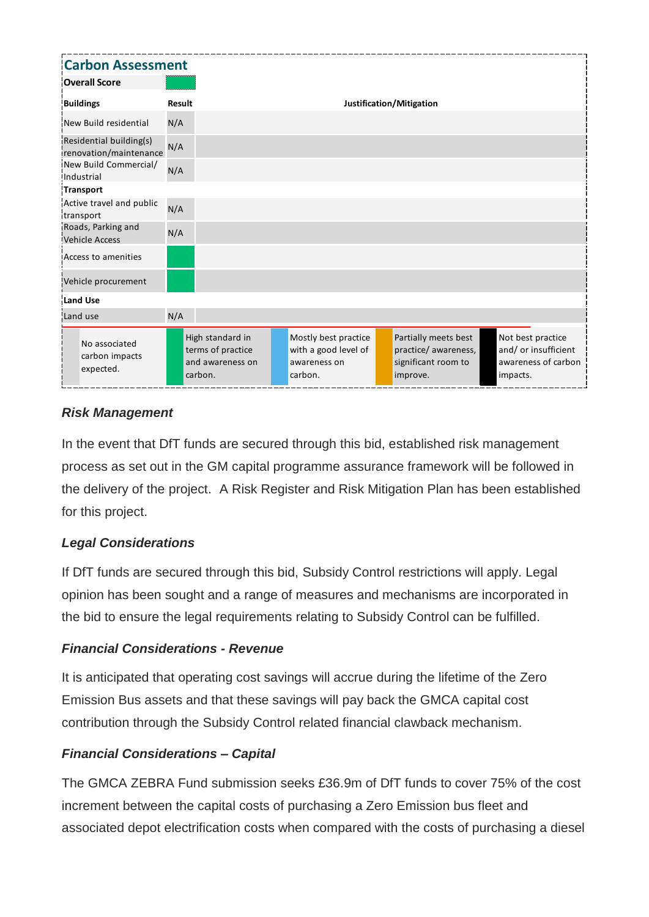| <b>Carbon Assessment</b>                          |        |                                                                      |  |                                                                         |  |                                                                                 |                                                                              |
|---------------------------------------------------|--------|----------------------------------------------------------------------|--|-------------------------------------------------------------------------|--|---------------------------------------------------------------------------------|------------------------------------------------------------------------------|
| <b>Overall Score</b>                              |        |                                                                      |  |                                                                         |  |                                                                                 |                                                                              |
| <b>Buildings</b>                                  | Result | Justification/Mitigation                                             |  |                                                                         |  |                                                                                 |                                                                              |
| New Build residential                             | N/A    |                                                                      |  |                                                                         |  |                                                                                 |                                                                              |
| Residential building(s)<br>renovation/maintenance | N/A    |                                                                      |  |                                                                         |  |                                                                                 |                                                                              |
| New Build Commercial/<br>Industrial               | N/A    |                                                                      |  |                                                                         |  |                                                                                 |                                                                              |
| <b>Transport</b>                                  |        |                                                                      |  |                                                                         |  |                                                                                 |                                                                              |
| Active travel and public<br>transport             | N/A    |                                                                      |  |                                                                         |  |                                                                                 |                                                                              |
| Roads, Parking and<br><b>Vehicle Access</b>       | N/A    |                                                                      |  |                                                                         |  |                                                                                 |                                                                              |
| Access to amenities                               |        |                                                                      |  |                                                                         |  |                                                                                 |                                                                              |
| Vehicle procurement                               |        |                                                                      |  |                                                                         |  |                                                                                 |                                                                              |
| <b>Land Use</b>                                   |        |                                                                      |  |                                                                         |  |                                                                                 |                                                                              |
| Land use                                          | N/A    |                                                                      |  |                                                                         |  |                                                                                 |                                                                              |
| No associated<br>carbon impacts<br>expected.      |        | High standard in<br>terms of practice<br>and awareness on<br>carbon. |  | Mostly best practice<br>with a good level of<br>awareness on<br>carbon. |  | Partially meets best<br>practice/ awareness,<br>significant room to<br>improve. | Not best practice<br>and/ or insufficient<br>awareness of carbon<br>impacts. |

#### *Risk Management*

In the event that DfT funds are secured through this bid, established risk management process as set out in the GM capital programme assurance framework will be followed in the delivery of the project. A Risk Register and Risk Mitigation Plan has been established for this project.

#### *Legal Considerations*

If DfT funds are secured through this bid, Subsidy Control restrictions will apply. Legal opinion has been sought and a range of measures and mechanisms are incorporated in the bid to ensure the legal requirements relating to Subsidy Control can be fulfilled.

#### *Financial Considerations - Revenue*

It is anticipated that operating cost savings will accrue during the lifetime of the Zero Emission Bus assets and that these savings will pay back the GMCA capital cost contribution through the Subsidy Control related financial clawback mechanism.

#### *Financial Considerations – Capital*

The GMCA ZEBRA Fund submission seeks £36.9m of DfT funds to cover 75% of the cost increment between the capital costs of purchasing a Zero Emission bus fleet and associated depot electrification costs when compared with the costs of purchasing a diesel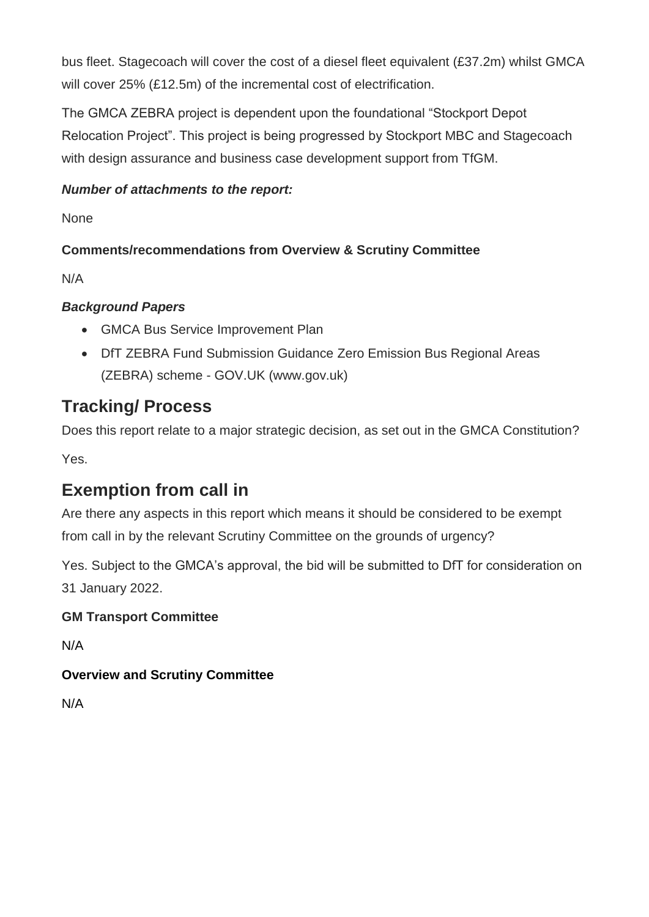bus fleet. Stagecoach will cover the cost of a diesel fleet equivalent (£37.2m) whilst GMCA will cover 25% (£12.5m) of the incremental cost of electrification.

The GMCA ZEBRA project is dependent upon the foundational "Stockport Depot Relocation Project". This project is being progressed by Stockport MBC and Stagecoach with design assurance and business case development support from TfGM.

#### *Number of attachments to the report:*

None

### **Comments/recommendations from Overview & Scrutiny Committee**

N/A

### *Background Papers*

- GMCA Bus Service Improvement Plan
- DfT ZEBRA Fund Submission Guidance [Zero Emission Bus Regional Areas](https://www.gov.uk/government/publications/apply-for-zero-emission-bus-funding)  (ZEBRA) scheme - [GOV.UK \(www.gov.uk\)](https://www.gov.uk/government/publications/apply-for-zero-emission-bus-funding)

## **Tracking/ Process**

Does this report relate to a major strategic decision, as set out in the GMCA Constitution?

Yes.

## **Exemption from call in**

Are there any aspects in this report which means it should be considered to be exempt from call in by the relevant Scrutiny Committee on the grounds of urgency?

Yes. Subject to the GMCA's approval, the bid will be submitted to DfT for consideration on 31 January 2022.

**GM Transport Committee**

N/A

### **Overview and Scrutiny Committee**

N/A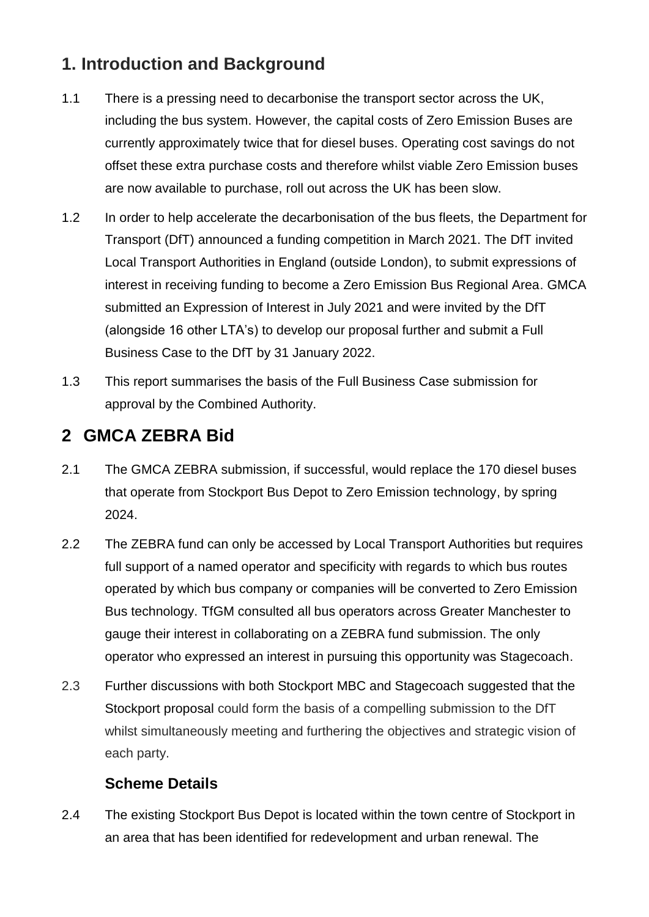# **1. Introduction and Background**

- 1.1 There is a pressing need to decarbonise the transport sector across the UK, including the bus system. However, the capital costs of Zero Emission Buses are currently approximately twice that for diesel buses. Operating cost savings do not offset these extra purchase costs and therefore whilst viable Zero Emission buses are now available to purchase, roll out across the UK has been slow.
- 1.2 In order to help accelerate the decarbonisation of the bus fleets, the Department for Transport (DfT) announced a funding competition in March 2021. The DfT invited Local Transport Authorities in England (outside London), to submit expressions of interest in receiving funding to become a Zero Emission Bus Regional Area. GMCA submitted an Expression of Interest in July 2021 and were invited by the DfT (alongside 16 other LTA's) to develop our proposal further and submit a Full Business Case to the DfT by 31 January 2022.
- 1.3 This report summarises the basis of the Full Business Case submission for approval by the Combined Authority.

## **2 GMCA ZEBRA Bid**

- 2.1 The GMCA ZEBRA submission, if successful, would replace the 170 diesel buses that operate from Stockport Bus Depot to Zero Emission technology, by spring 2024.
- 2.2 The ZEBRA fund can only be accessed by Local Transport Authorities but requires full support of a named operator and specificity with regards to which bus routes operated by which bus company or companies will be converted to Zero Emission Bus technology. TfGM consulted all bus operators across Greater Manchester to gauge their interest in collaborating on a ZEBRA fund submission. The only operator who expressed an interest in pursuing this opportunity was Stagecoach.
- 2.3 Further discussions with both Stockport MBC and Stagecoach suggested that the Stockport proposal could form the basis of a compelling submission to the DfT whilst simultaneously meeting and furthering the objectives and strategic vision of each party.

### **Scheme Details**

2.4 The existing Stockport Bus Depot is located within the town centre of Stockport in an area that has been identified for redevelopment and urban renewal. The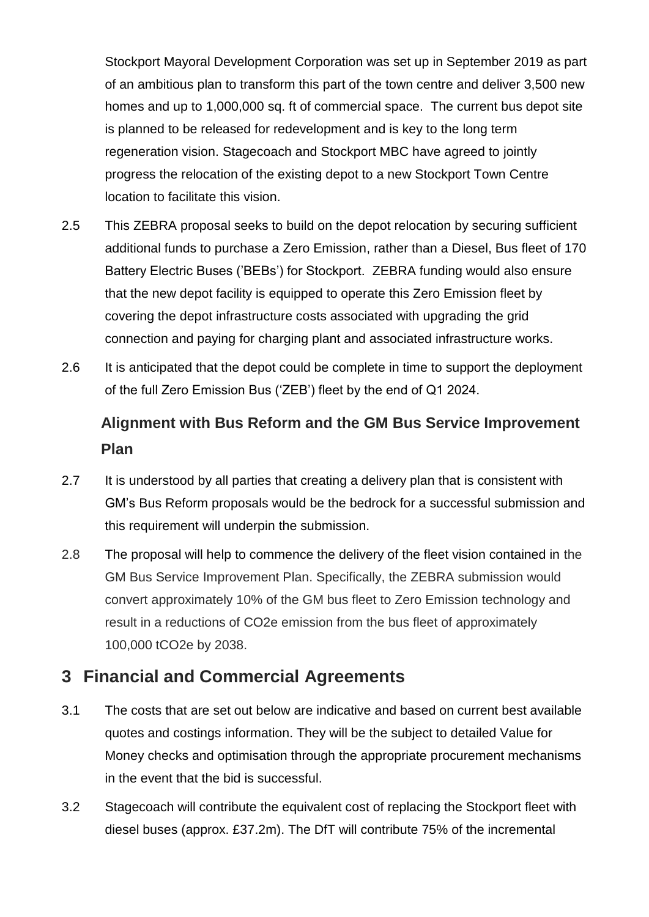Stockport Mayoral Development Corporation was set up in September 2019 as part of an ambitious plan to transform this part of the town centre and deliver 3,500 new homes and up to 1,000,000 sq. ft of commercial space. The current bus depot site is planned to be released for redevelopment and is key to the long term regeneration vision. Stagecoach and Stockport MBC have agreed to jointly progress the relocation of the existing depot to a new Stockport Town Centre location to facilitate this vision.

- 2.5 This ZEBRA proposal seeks to build on the depot relocation by securing sufficient additional funds to purchase a Zero Emission, rather than a Diesel, Bus fleet of 170 Battery Electric Buses ('BEBs') for Stockport. ZEBRA funding would also ensure that the new depot facility is equipped to operate this Zero Emission fleet by covering the depot infrastructure costs associated with upgrading the grid connection and paying for charging plant and associated infrastructure works.
- 2.6 It is anticipated that the depot could be complete in time to support the deployment of the full Zero Emission Bus ('ZEB') fleet by the end of Q1 2024.

# **Alignment with Bus Reform and the GM Bus Service Improvement Plan**

- 2.7 It is understood by all parties that creating a delivery plan that is consistent with GM's Bus Reform proposals would be the bedrock for a successful submission and this requirement will underpin the submission.
- 2.8 The proposal will help to commence the delivery of the fleet vision contained in the GM Bus Service Improvement Plan. Specifically, the ZEBRA submission would convert approximately 10% of the GM bus fleet to Zero Emission technology and result in a reductions of CO2e emission from the bus fleet of approximately 100,000 tCO2e by 2038.

## **3 Financial and Commercial Agreements**

- 3.1 The costs that are set out below are indicative and based on current best available quotes and costings information. They will be the subject to detailed Value for Money checks and optimisation through the appropriate procurement mechanisms in the event that the bid is successful.
- 3.2 Stagecoach will contribute the equivalent cost of replacing the Stockport fleet with diesel buses (approx. £37.2m). The DfT will contribute 75% of the incremental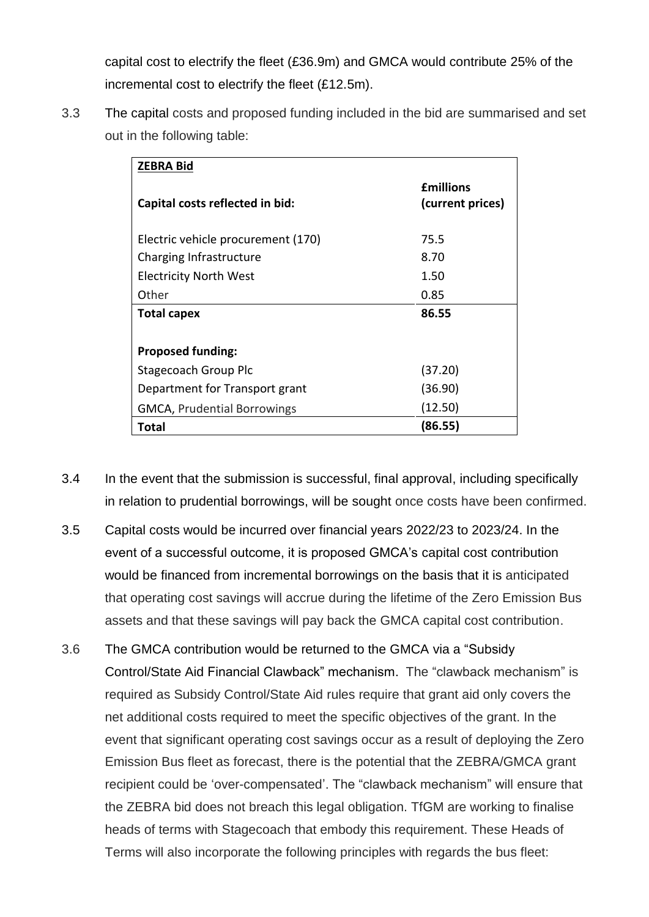capital cost to electrify the fleet (£36.9m) and GMCA would contribute 25% of the incremental cost to electrify the fleet (£12.5m).

3.3 The capital costs and proposed funding included in the bid are summarised and set out in the following table:

| <b>ZEBRA Bid</b>                   |                                      |
|------------------------------------|--------------------------------------|
| Capital costs reflected in bid:    | <b>£millions</b><br>(current prices) |
| Electric vehicle procurement (170) | 75.5                                 |
| Charging Infrastructure            | 8.70                                 |
| <b>Electricity North West</b>      | 1.50                                 |
| Other                              | 0.85                                 |
| <b>Total capex</b>                 | 86.55                                |
|                                    |                                      |
| <b>Proposed funding:</b>           |                                      |
| Stagecoach Group Plc               | (37.20)                              |
| Department for Transport grant     | (36.90)                              |
| <b>GMCA, Prudential Borrowings</b> | (12.50)                              |
| <b>Total</b>                       | (86.55)                              |

- 3.4 In the event that the submission is successful, final approval, including specifically in relation to prudential borrowings, will be sought once costs have been confirmed.
- 3.5 Capital costs would be incurred over financial years 2022/23 to 2023/24. In the event of a successful outcome, it is proposed GMCA's capital cost contribution would be financed from incremental borrowings on the basis that it is anticipated that operating cost savings will accrue during the lifetime of the Zero Emission Bus assets and that these savings will pay back the GMCA capital cost contribution.
- 3.6 The GMCA contribution would be returned to the GMCA via a "Subsidy Control/State Aid Financial Clawback" mechanism. The "clawback mechanism" is required as Subsidy Control/State Aid rules require that grant aid only covers the net additional costs required to meet the specific objectives of the grant. In the event that significant operating cost savings occur as a result of deploying the Zero Emission Bus fleet as forecast, there is the potential that the ZEBRA/GMCA grant recipient could be 'over-compensated'. The "clawback mechanism" will ensure that the ZEBRA bid does not breach this legal obligation. TfGM are working to finalise heads of terms with Stagecoach that embody this requirement. These Heads of Terms will also incorporate the following principles with regards the bus fleet: